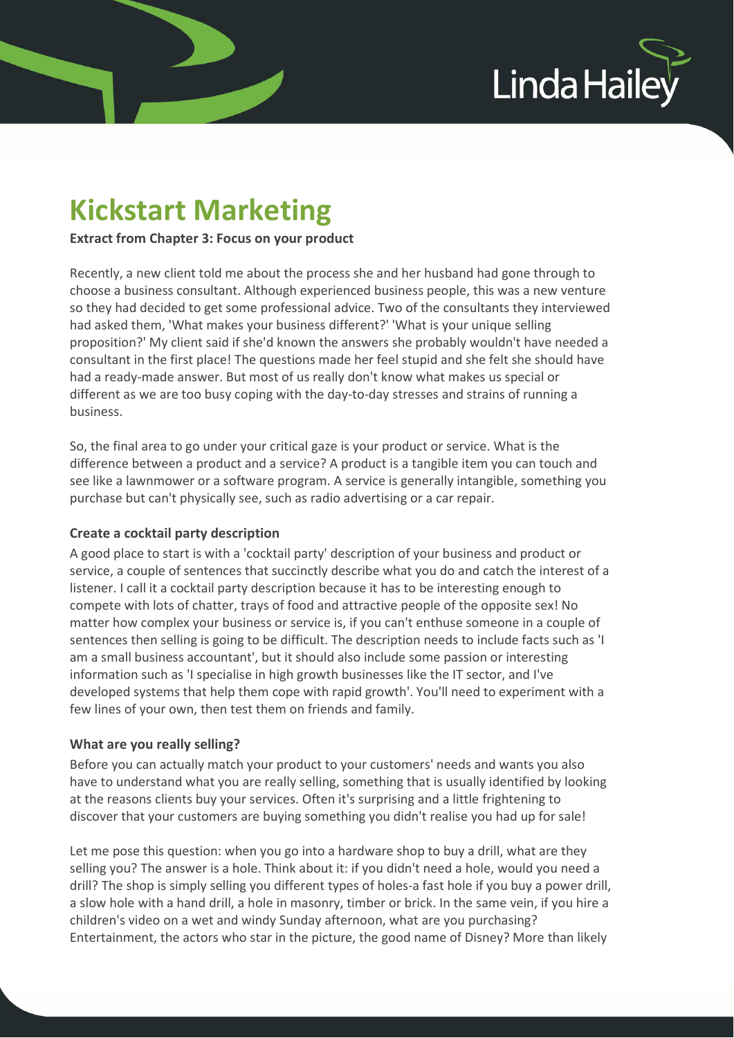

# Kickstart Marketing

Extract from Chapter 3: Focus on your product

Recently, a new client told me about the process she and her husband had gone through to choose a business consultant. Although experienced business people, this was a new venture so they had decided to get some professional advice. Two of the consultants they interviewed had asked them, 'What makes your business different?' 'What is your unique selling proposition?' My client said if she'd known the answers she probably wouldn't have needed a consultant in the first place! The questions made her feel stupid and she felt she should have had a ready-made answer. But most of us really don't know what makes us special or different as we are too busy coping with the day-to-day stresses and strains of running a business.

So, the final area to go under your critical gaze is your product or service. What is the difference between a product and a service? A product is a tangible item you can touch and see like a lawnmower or a software program. A service is generally intangible, something you purchase but can't physically see, such as radio advertising or a car repair.

## Create a cocktail party description

A good place to start is with a 'cocktail party' description of your business and product or service, a couple of sentences that succinctly describe what you do and catch the interest of a listener. I call it a cocktail party description because it has to be interesting enough to compete with lots of chatter, trays of food and attractive people of the opposite sex! No matter how complex your business or service is, if you can't enthuse someone in a couple of sentences then selling is going to be difficult. The description needs to include facts such as 'I am a small business accountant', but it should also include some passion or interesting information such as 'I specialise in high growth businesses like the IT sector, and I've developed systems that help them cope with rapid growth'. You'll need to experiment with a few lines of your own, then test them on friends and family.

## What are you really selling?

Before you can actually match your product to your customers' needs and wants you also have to understand what you are really selling, something that is usually identified by looking at the reasons clients buy your services. Often it's surprising and a little frightening to discover that your customers are buying something you didn't realise you had up for sale!

Let me pose this question: when you go into a hardware shop to buy a drill, what are they selling you? The answer is a hole. Think about it: if you didn't need a hole, would you need a drill? The shop is simply selling you different types of holes-a fast hole if you buy a power drill, a slow hole with a hand drill, a hole in masonry, timber or brick. In the same vein, if you hire a children's video on a wet and windy Sunday afternoon, what are you purchasing? Entertainment, the actors who star in the picture, the good name of Disney? More than likely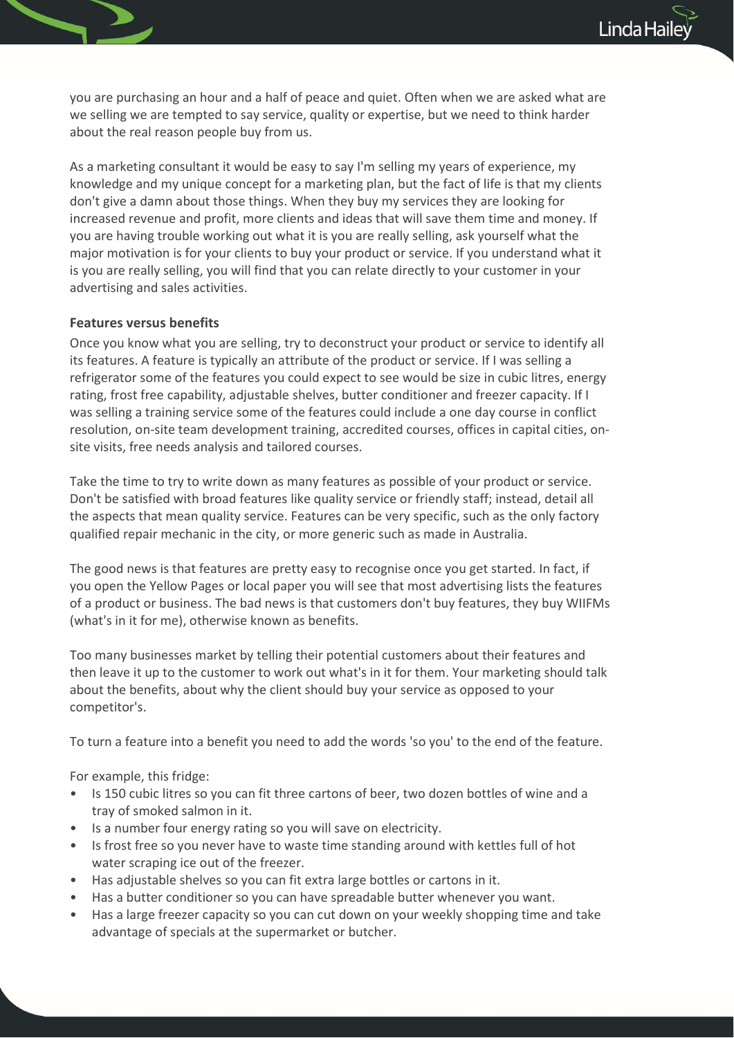you are purchasing an hour and a half of peace and quiet. Often when we are asked what are we selling we are tempted to say service, quality or expertise, but we need to think harder about the real reason people buy from us.

As a marketing consultant it would be easy to say I'm selling my years of experience, my knowledge and my unique concept for a marketing plan, but the fact of life is that my clients don't give a damn about those things. When they buy my services they are looking for increased revenue and profit, more clients and ideas that will save them time and money. If you are having trouble working out what it is you are really selling, ask yourself what the major motivation is for your clients to buy your product or service. If you understand what it is you are really selling, you will find that you can relate directly to your customer in your advertising and sales activities.

### Features versus benefits

Once you know what you are selling, try to deconstruct your product or service to identify all its features. A feature is typically an attribute of the product or service. If I was selling a refrigerator some of the features you could expect to see would be size in cubic litres, energy rating, frost free capability, adjustable shelves, butter conditioner and freezer capacity. If I was selling a training service some of the features could include a one day course in conflict resolution, on-site team development training, accredited courses, offices in capital cities, onsite visits, free needs analysis and tailored courses.

Take the time to try to write down as many features as possible of your product or service. Don't be satisfied with broad features like quality service or friendly staff; instead, detail all the aspects that mean quality service. Features can be very specific, such as the only factory qualified repair mechanic in the city, or more generic such as made in Australia.

The good news is that features are pretty easy to recognise once you get started. In fact, if you open the Yellow Pages or local paper you will see that most advertising lists the features of a product or business. The bad news is that customers don't buy features, they buy WIIFMs (what's in it for me), otherwise known as benefits.

Too many businesses market by telling their potential customers about their features and then leave it up to the customer to work out what's in it for them. Your marketing should talk about the benefits, about why the client should buy your service as opposed to your competitor's.

To turn a feature into a benefit you need to add the words 'so you' to the end of the feature.

For example, this fridge:

- Is 150 cubic litres so you can fit three cartons of beer, two dozen bottles of wine and a tray of smoked salmon in it.
- Is a number four energy rating so you will save on electricity.
- Is frost free so you never have to waste time standing around with kettles full of hot water scraping ice out of the freezer.
- Has adjustable shelves so you can fit extra large bottles or cartons in it.
- Has a butter conditioner so you can have spreadable butter whenever you want.
- Has a large freezer capacity so you can cut down on your weekly shopping time and take advantage of specials at the supermarket or butcher.